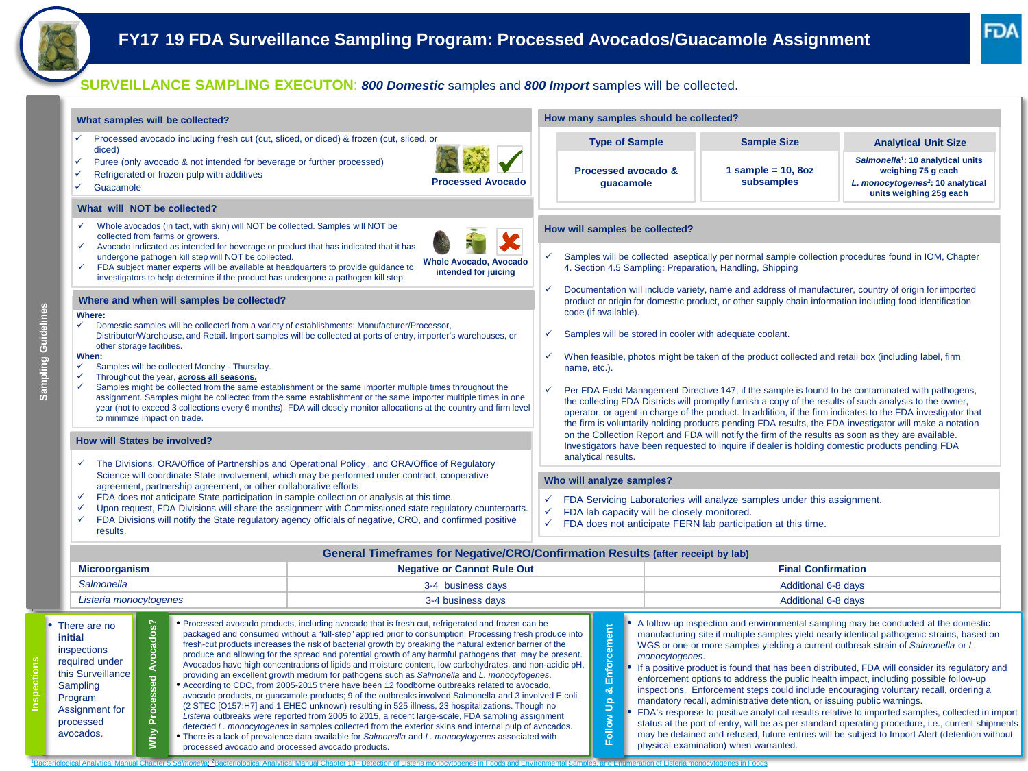## **SURVEILLANCE SAMPLING EXECUTON**: *800 Domestic* samples and *800 Import* samples will be collected.

**Sampling Guidelines**

**Sampling Guidelines** 

**Inspections** 

| What samples will be collected?                                                                                                                                                                                                                                                                                                                                                                                                                                                                                                                                                                                                                                                                                                                                                                                                                                                                                                                                                                                                                                                                                                                                                                                                                                                                                                                                                                                                                                                                                                |                                                                                                                                                                                                                                                                                                                                                                                                                                                                                                                                                                                                                                                                   | How many samples should be collected?                                                                                                                                                                           |                           |                                                                                                                  |                                                                                                                                                                                                                                                                                                                                                                                                                                                                                                                                                                                                                                                                                                                                                                                                                                                                     |  |  |
|--------------------------------------------------------------------------------------------------------------------------------------------------------------------------------------------------------------------------------------------------------------------------------------------------------------------------------------------------------------------------------------------------------------------------------------------------------------------------------------------------------------------------------------------------------------------------------------------------------------------------------------------------------------------------------------------------------------------------------------------------------------------------------------------------------------------------------------------------------------------------------------------------------------------------------------------------------------------------------------------------------------------------------------------------------------------------------------------------------------------------------------------------------------------------------------------------------------------------------------------------------------------------------------------------------------------------------------------------------------------------------------------------------------------------------------------------------------------------------------------------------------------------------|-------------------------------------------------------------------------------------------------------------------------------------------------------------------------------------------------------------------------------------------------------------------------------------------------------------------------------------------------------------------------------------------------------------------------------------------------------------------------------------------------------------------------------------------------------------------------------------------------------------------------------------------------------------------|-----------------------------------------------------------------------------------------------------------------------------------------------------------------------------------------------------------------|---------------------------|------------------------------------------------------------------------------------------------------------------|---------------------------------------------------------------------------------------------------------------------------------------------------------------------------------------------------------------------------------------------------------------------------------------------------------------------------------------------------------------------------------------------------------------------------------------------------------------------------------------------------------------------------------------------------------------------------------------------------------------------------------------------------------------------------------------------------------------------------------------------------------------------------------------------------------------------------------------------------------------------|--|--|
| Processed avocado including fresh cut (cut, sliced, or diced) & frozen (cut, sliced, or<br>✓<br>diced)<br>Puree (only avocado & not intended for beverage or further processed)<br>✓                                                                                                                                                                                                                                                                                                                                                                                                                                                                                                                                                                                                                                                                                                                                                                                                                                                                                                                                                                                                                                                                                                                                                                                                                                                                                                                                           |                                                                                                                                                                                                                                                                                                                                                                                                                                                                                                                                                                                                                                                                   | <b>Type of Sample</b>                                                                                                                                                                                           |                           | <b>Sample Size</b>                                                                                               | <b>Analytical Unit Size</b><br>Salmonella <sup>1</sup> : 10 analytical units                                                                                                                                                                                                                                                                                                                                                                                                                                                                                                                                                                                                                                                                                                                                                                                        |  |  |
| Refrigerated or frozen pulp with additives<br>✓<br>✓<br>Guacamole                                                                                                                                                                                                                                                                                                                                                                                                                                                                                                                                                                                                                                                                                                                                                                                                                                                                                                                                                                                                                                                                                                                                                                                                                                                                                                                                                                                                                                                              | <b>Processed Avocado</b>                                                                                                                                                                                                                                                                                                                                                                                                                                                                                                                                                                                                                                          | Processed avocado &<br>guacamole                                                                                                                                                                                |                           | 1 sample = $10, 8oz$<br>subsamples                                                                               | weighing 75 g each<br>L. monocytogenes <sup>2</sup> : 10 analytical                                                                                                                                                                                                                                                                                                                                                                                                                                                                                                                                                                                                                                                                                                                                                                                                 |  |  |
| What will NOT be collected?                                                                                                                                                                                                                                                                                                                                                                                                                                                                                                                                                                                                                                                                                                                                                                                                                                                                                                                                                                                                                                                                                                                                                                                                                                                                                                                                                                                                                                                                                                    |                                                                                                                                                                                                                                                                                                                                                                                                                                                                                                                                                                                                                                                                   |                                                                                                                                                                                                                 |                           |                                                                                                                  | units weighing 25g each                                                                                                                                                                                                                                                                                                                                                                                                                                                                                                                                                                                                                                                                                                                                                                                                                                             |  |  |
| Whole avocados (in tact, with skin) will NOT be collected. Samples will NOT be<br>$\checkmark$<br>collected from farms or growers.                                                                                                                                                                                                                                                                                                                                                                                                                                                                                                                                                                                                                                                                                                                                                                                                                                                                                                                                                                                                                                                                                                                                                                                                                                                                                                                                                                                             |                                                                                                                                                                                                                                                                                                                                                                                                                                                                                                                                                                                                                                                                   | How will samples be collected?                                                                                                                                                                                  |                           |                                                                                                                  |                                                                                                                                                                                                                                                                                                                                                                                                                                                                                                                                                                                                                                                                                                                                                                                                                                                                     |  |  |
| Avocado indicated as intended for beverage or product that has indicated that it has<br>undergone pathogen kill step will NOT be collected.<br>FDA subject matter experts will be available at headquarters to provide guidance to<br>investigators to help determine if the product has undergone a pathogen kill step.                                                                                                                                                                                                                                                                                                                                                                                                                                                                                                                                                                                                                                                                                                                                                                                                                                                                                                                                                                                                                                                                                                                                                                                                       | Samples will be collected aseptically per normal sample collection procedures found in IOM, Chapter<br>4. Section 4.5 Sampling: Preparation, Handling, Shipping                                                                                                                                                                                                                                                                                                                                                                                                                                                                                                   |                                                                                                                                                                                                                 |                           |                                                                                                                  |                                                                                                                                                                                                                                                                                                                                                                                                                                                                                                                                                                                                                                                                                                                                                                                                                                                                     |  |  |
| Where and when will samples be collected?                                                                                                                                                                                                                                                                                                                                                                                                                                                                                                                                                                                                                                                                                                                                                                                                                                                                                                                                                                                                                                                                                                                                                                                                                                                                                                                                                                                                                                                                                      | $\checkmark$                                                                                                                                                                                                                                                                                                                                                                                                                                                                                                                                                                                                                                                      | Documentation will include variety, name and address of manufacturer, country of origin for imported<br>product or origin for domestic product, or other supply chain information including food identification |                           |                                                                                                                  |                                                                                                                                                                                                                                                                                                                                                                                                                                                                                                                                                                                                                                                                                                                                                                                                                                                                     |  |  |
| Where:<br>Domestic samples will be collected from a variety of establishments: Manufacturer/Processor,<br>✓<br>Distributor/Warehouse, and Retail. Import samples will be collected at ports of entry, importer's warehouses, or                                                                                                                                                                                                                                                                                                                                                                                                                                                                                                                                                                                                                                                                                                                                                                                                                                                                                                                                                                                                                                                                                                                                                                                                                                                                                                | code (if available).<br>Samples will be stored in cooler with adequate coolant.<br>$\checkmark$                                                                                                                                                                                                                                                                                                                                                                                                                                                                                                                                                                   |                                                                                                                                                                                                                 |                           |                                                                                                                  |                                                                                                                                                                                                                                                                                                                                                                                                                                                                                                                                                                                                                                                                                                                                                                                                                                                                     |  |  |
| other storage facilities.<br>When:<br>Samples will be collected Monday - Thursday.<br>✓                                                                                                                                                                                                                                                                                                                                                                                                                                                                                                                                                                                                                                                                                                                                                                                                                                                                                                                                                                                                                                                                                                                                                                                                                                                                                                                                                                                                                                        | name, etc.).                                                                                                                                                                                                                                                                                                                                                                                                                                                                                                                                                                                                                                                      | When feasible, photos might be taken of the product collected and retail box (including label, firm                                                                                                             |                           |                                                                                                                  |                                                                                                                                                                                                                                                                                                                                                                                                                                                                                                                                                                                                                                                                                                                                                                                                                                                                     |  |  |
| Throughout the year, across all seasons.<br>Samples might be collected from the same establishment or the same importer multiple times throughout the<br>assignment. Samples might be collected from the same establishment or the same importer multiple times in one<br>year (not to exceed 3 collections every 6 months). FDA will closely monitor allocations at the country and firm level<br>to minimize impact on trade.                                                                                                                                                                                                                                                                                                                                                                                                                                                                                                                                                                                                                                                                                                                                                                                                                                                                                                                                                                                                                                                                                                | Per FDA Field Management Directive 147, if the sample is found to be contaminated with pathogens,<br>$\checkmark$<br>the collecting FDA Districts will promptly furnish a copy of the results of such analysis to the owner,<br>operator, or agent in charge of the product. In addition, if the firm indicates to the FDA investigator that<br>the firm is voluntarily holding products pending FDA results, the FDA investigator will make a notation<br>on the Collection Report and FDA will notify the firm of the results as soon as they are available.<br>Investigators have been requested to inquire if dealer is holding domestic products pending FDA |                                                                                                                                                                                                                 |                           |                                                                                                                  |                                                                                                                                                                                                                                                                                                                                                                                                                                                                                                                                                                                                                                                                                                                                                                                                                                                                     |  |  |
| <b>How will States be involved?</b>                                                                                                                                                                                                                                                                                                                                                                                                                                                                                                                                                                                                                                                                                                                                                                                                                                                                                                                                                                                                                                                                                                                                                                                                                                                                                                                                                                                                                                                                                            |                                                                                                                                                                                                                                                                                                                                                                                                                                                                                                                                                                                                                                                                   |                                                                                                                                                                                                                 |                           |                                                                                                                  |                                                                                                                                                                                                                                                                                                                                                                                                                                                                                                                                                                                                                                                                                                                                                                                                                                                                     |  |  |
| The Divisions, ORA/Office of Partnerships and Operational Policy, and ORA/Office of Regulatory<br>Science will coordinate State involvement, which may be performed under contract, cooperative                                                                                                                                                                                                                                                                                                                                                                                                                                                                                                                                                                                                                                                                                                                                                                                                                                                                                                                                                                                                                                                                                                                                                                                                                                                                                                                                |                                                                                                                                                                                                                                                                                                                                                                                                                                                                                                                                                                                                                                                                   | analytical results.<br>Who will analyze samples?                                                                                                                                                                |                           |                                                                                                                  |                                                                                                                                                                                                                                                                                                                                                                                                                                                                                                                                                                                                                                                                                                                                                                                                                                                                     |  |  |
| agreement, partnership agreement, or other collaborative efforts.<br>FDA does not anticipate State participation in sample collection or analysis at this time.<br>$\checkmark$                                                                                                                                                                                                                                                                                                                                                                                                                                                                                                                                                                                                                                                                                                                                                                                                                                                                                                                                                                                                                                                                                                                                                                                                                                                                                                                                                | ✓                                                                                                                                                                                                                                                                                                                                                                                                                                                                                                                                                                                                                                                                 | FDA Servicing Laboratories will analyze samples under this assignment.                                                                                                                                          |                           |                                                                                                                  |                                                                                                                                                                                                                                                                                                                                                                                                                                                                                                                                                                                                                                                                                                                                                                                                                                                                     |  |  |
| $\checkmark$<br>Upon request, FDA Divisions will share the assignment with Commissioned state regulatory counterparts.<br>FDA Divisions will notify the State regulatory agency officials of negative, CRO, and confirmed positive<br>✓<br>results.                                                                                                                                                                                                                                                                                                                                                                                                                                                                                                                                                                                                                                                                                                                                                                                                                                                                                                                                                                                                                                                                                                                                                                                                                                                                            | FDA lab capacity will be closely monitored.<br>✓<br>$\checkmark$ FDA does not anticipate FERN lab participation at this time.                                                                                                                                                                                                                                                                                                                                                                                                                                                                                                                                     |                                                                                                                                                                                                                 |                           |                                                                                                                  |                                                                                                                                                                                                                                                                                                                                                                                                                                                                                                                                                                                                                                                                                                                                                                                                                                                                     |  |  |
|                                                                                                                                                                                                                                                                                                                                                                                                                                                                                                                                                                                                                                                                                                                                                                                                                                                                                                                                                                                                                                                                                                                                                                                                                                                                                                                                                                                                                                                                                                                                | General Timeframes for Negative/CRO/Confirmation Results (after receipt by lab)                                                                                                                                                                                                                                                                                                                                                                                                                                                                                                                                                                                   |                                                                                                                                                                                                                 |                           |                                                                                                                  |                                                                                                                                                                                                                                                                                                                                                                                                                                                                                                                                                                                                                                                                                                                                                                                                                                                                     |  |  |
| <b>Microorganism</b>                                                                                                                                                                                                                                                                                                                                                                                                                                                                                                                                                                                                                                                                                                                                                                                                                                                                                                                                                                                                                                                                                                                                                                                                                                                                                                                                                                                                                                                                                                           | <b>Negative or Cannot Rule Out</b>                                                                                                                                                                                                                                                                                                                                                                                                                                                                                                                                                                                                                                |                                                                                                                                                                                                                 | <b>Final Confirmation</b> |                                                                                                                  |                                                                                                                                                                                                                                                                                                                                                                                                                                                                                                                                                                                                                                                                                                                                                                                                                                                                     |  |  |
| Salmonella<br>3-4 business days                                                                                                                                                                                                                                                                                                                                                                                                                                                                                                                                                                                                                                                                                                                                                                                                                                                                                                                                                                                                                                                                                                                                                                                                                                                                                                                                                                                                                                                                                                |                                                                                                                                                                                                                                                                                                                                                                                                                                                                                                                                                                                                                                                                   |                                                                                                                                                                                                                 | Additional 6-8 days       |                                                                                                                  |                                                                                                                                                                                                                                                                                                                                                                                                                                                                                                                                                                                                                                                                                                                                                                                                                                                                     |  |  |
| Listeria monocytogenes                                                                                                                                                                                                                                                                                                                                                                                                                                                                                                                                                                                                                                                                                                                                                                                                                                                                                                                                                                                                                                                                                                                                                                                                                                                                                                                                                                                                                                                                                                         | 3-4 business days                                                                                                                                                                                                                                                                                                                                                                                                                                                                                                                                                                                                                                                 |                                                                                                                                                                                                                 | Additional 6-8 days       |                                                                                                                  |                                                                                                                                                                                                                                                                                                                                                                                                                                                                                                                                                                                                                                                                                                                                                                                                                                                                     |  |  |
| · Processed avocado products, including avocado that is fresh cut, refrigerated and frozen can be<br>Avocados?<br>There are no<br>packaged and consumed without a "kill-step" applied prior to consumption. Processing fresh produce into<br>initial<br>fresh-cut products increases the risk of bacterial growth by breaking the natural exterior barrier of the<br>inspections<br>produce and allowing for the spread and potential growth of any harmful pathogens that may be present.<br>required under<br>Avocados have high concentrations of lipids and moisture content, low carbohydrates, and non-acidic pH,<br>this Surveillance<br>providing an excellent growth medium for pathogens such as Salmonella and L. monocytogenes.<br>Processed<br>Sampling<br>• According to CDC, from 2005-2015 there have been 12 foodborne outbreaks related to avocado,<br>avocado products, or guacamole products; 9 of the outbreaks involved Salmonella and 3 involved E.coli<br>Program<br>(2 STEC [O157:H7] and 1 EHEC unknown) resulting in 525 illness, 23 hospitalizations. Though no<br>Assignment for<br>Listeria outbreaks were reported from 2005 to 2015, a recent large-scale, FDA sampling assignment<br>processed<br>detected L. monocytogenes in samples collected from the exterior skins and internal pulp of avocados.<br><b>NHV</b><br>avocados.<br>• There is a lack of prevalence data available for Salmonella and L. monocytogenes associated with<br>processed avocado and processed avocado products. |                                                                                                                                                                                                                                                                                                                                                                                                                                                                                                                                                                                                                                                                   | Enforcement<br>٥ð<br>Follow Up                                                                                                                                                                                  | monocytogenes.            | mandatory recall, administrative detention, or issuing public warnings.<br>physical examination) when warranted. | A follow-up inspection and environmental sampling may be conducted at the domestic<br>manufacturing site if multiple samples yield nearly identical pathogenic strains, based on<br>WGS or one or more samples yielding a current outbreak strain of Salmonella or L.<br>If a positive product is found that has been distributed, FDA will consider its regulatory and<br>enforcement options to address the public health impact, including possible follow-up<br>inspections. Enforcement steps could include encouraging voluntary recall, ordering a<br>FDA's response to positive analytical results relative to imported samples, collected in import<br>status at the port of entry, will be as per standard operating procedure, i.e., current shipments<br>may be detained and refused, future entries will be subject to Import Alert (detention without |  |  |

l <sup>1</sup>Bacteriological Analytical Manual Chapter 5 Salmonella; 2Bacteriological Analytical Manual Chapter 10 - Detection of Listeria monocytogenes in Foods and Environmental Samples, and Enumeration of Listeria monocytogenes i Bacteriological Analytical Manual Chapter 10